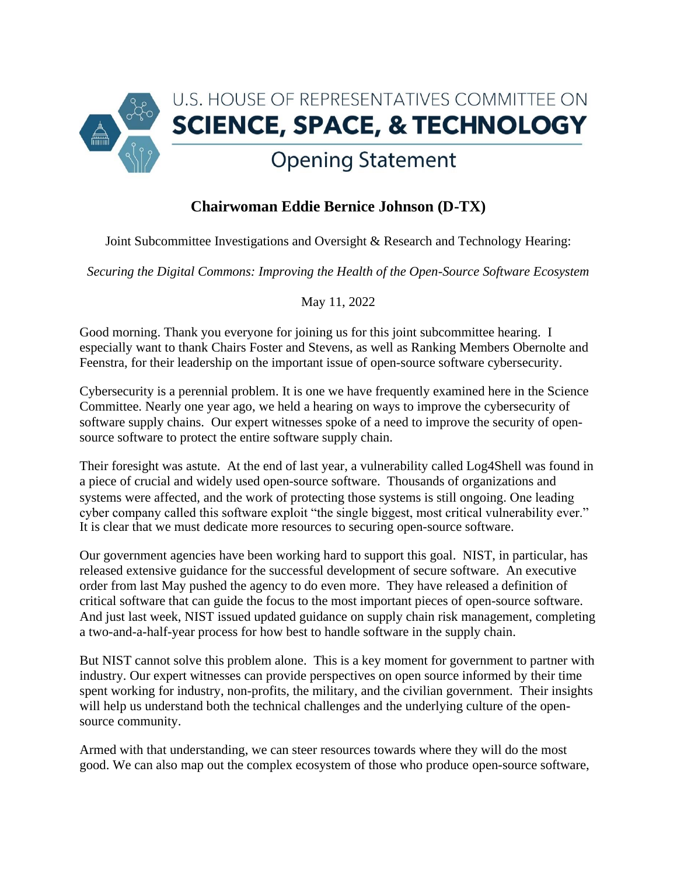

## **Chairwoman Eddie Bernice Johnson (D-TX)**

Joint Subcommittee Investigations and Oversight & Research and Technology Hearing:

*Securing the Digital Commons: Improving the Health of the Open-Source Software Ecosystem* 

May 11, 2022

Good morning. Thank you everyone for joining us for this joint subcommittee hearing. I especially want to thank Chairs Foster and Stevens, as well as Ranking Members Obernolte and Feenstra, for their leadership on the important issue of open-source software cybersecurity.

Cybersecurity is a perennial problem. It is one we have frequently examined here in the Science Committee. Nearly one year ago, we held a hearing on ways to improve the cybersecurity of software supply chains. Our expert witnesses spoke of a need to improve the security of opensource software to protect the entire software supply chain.

Their foresight was astute. At the end of last year, a vulnerability called Log4Shell was found in a piece of crucial and widely used open-source software. Thousands of organizations and systems were affected, and the work of protecting those systems is still ongoing. One leading cyber company called this software exploit "the single biggest, most critical vulnerability ever." It is clear that we must dedicate more resources to securing open-source software.

Our government agencies have been working hard to support this goal. NIST, in particular, has released extensive guidance for the successful development of secure software. An executive order from last May pushed the agency to do even more. They have released a definition of critical software that can guide the focus to the most important pieces of open-source software. And just last week, NIST issued updated guidance on supply chain risk management, completing a two-and-a-half-year process for how best to handle software in the supply chain.

But NIST cannot solve this problem alone. This is a key moment for government to partner with industry. Our expert witnesses can provide perspectives on open source informed by their time spent working for industry, non-profits, the military, and the civilian government. Their insights will help us understand both the technical challenges and the underlying culture of the opensource community.

Armed with that understanding, we can steer resources towards where they will do the most good. We can also map out the complex ecosystem of those who produce open-source software,